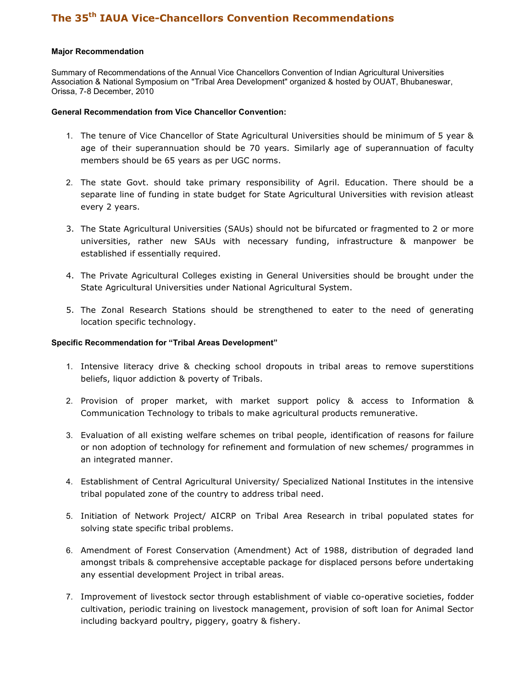## Major Recommendation

Summary of Recommendations of the Annual Vice Chancellors Convention of Indian Agricultural Universities Association & National Symposium on "Tribal Area Development" organized & hosted by OUAT, Bhubaneswar, Orissa, 7-8 December, 2010

## General Recommendation from Vice Chancellor Convention:

- 1. The tenure of Vice Chancellor of State Agricultural Universities should be minimum of 5 year & age of their superannuation should be 70 years. Similarly age of superannuation of faculty members should be 65 years as per UGC norms.
- 2. The state Govt. should take primary responsibility of Agril. Education. There should be a separate line of funding in state budget for State Agricultural Universities with revision atleast every 2 years.
- 3. The State Agricultural Universities (SAUs) should not be bifurcated or fragmented to 2 or more universities, rather new SAUs with necessary funding, infrastructure & manpower be established if essentially required.
- 4. The Private Agricultural Colleges existing in General Universities should be brought under the State Agricultural Universities under National Agricultural System.
- 5. The Zonal Research Stations should be strengthened to eater to the need of generating location specific technology.

## Specific Recommendation for "Tribal Areas Development"

- 1. Intensive literacy drive & checking school dropouts in tribal areas to remove superstitions beliefs, liquor addiction & poverty of Tribals.
- 2. Provision of proper market, with market support policy & access to Information & Communication Technology to tribals to make agricultural products remunerative.
- 3. Evaluation of all existing welfare schemes on tribal people, identification of reasons for failure or non adoption of technology for refinement and formulation of new schemes/ programmes in an integrated manner.
- 4. Establishment of Central Agricultural University/ Specialized National Institutes in the intensive tribal populated zone of the country to address tribal need.
- 5. Initiation of Network Project/ AICRP on Tribal Area Research in tribal populated states for solving state specific tribal problems.
- 6. Amendment of Forest Conservation (Amendment) Act of 1988, distribution of degraded land amongst tribals & comprehensive acceptable package for displaced persons before undertaking any essential development Project in tribal areas.
- 7. Improvement of livestock sector through establishment of viable co-operative societies, fodder cultivation, periodic training on livestock management, provision of soft loan for Animal Sector including backyard poultry, piggery, goatry & fishery.